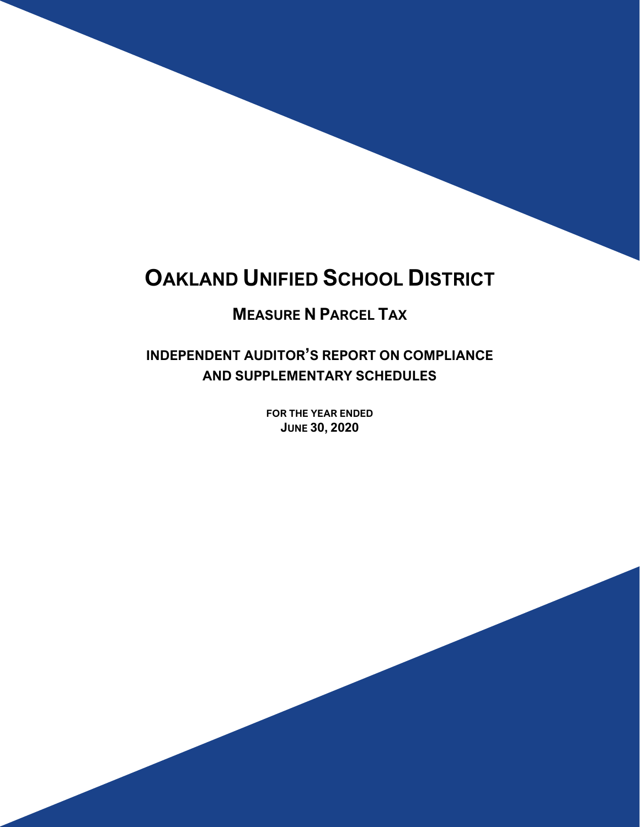# **OAKLAND UNIFIED SCHOOL DISTRICT**

# **MEASURE N PARCEL TAX**

**INDEPENDENT AUDITOR'S REPORT ON COMPLIANCE AND SUPPLEMENTARY SCHEDULES**

> **FOR THE YEAR ENDED JUNE 30, 2020**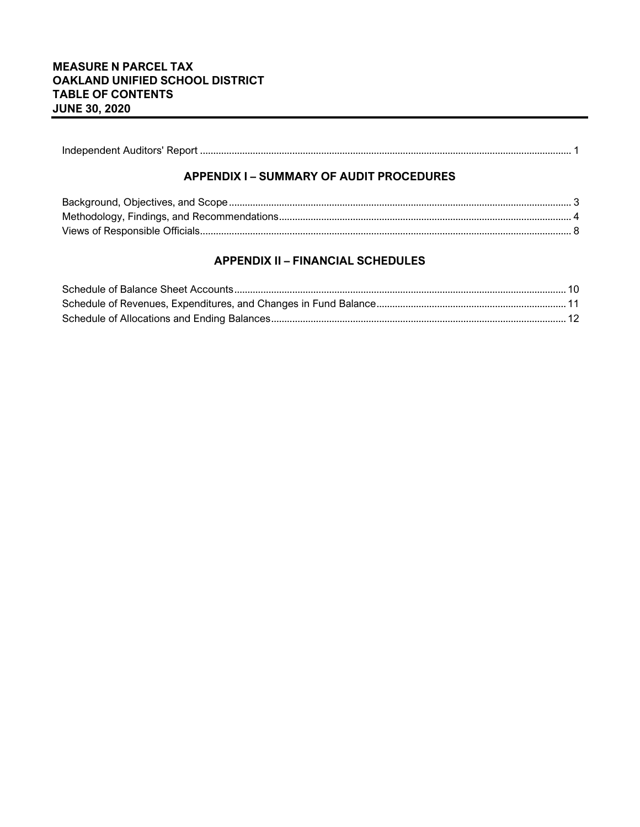|--|

### **APPENDIX I – SUMMARY OF AUDIT PROCEDURES**

# **APPENDIX II – FINANCIAL SCHEDULES**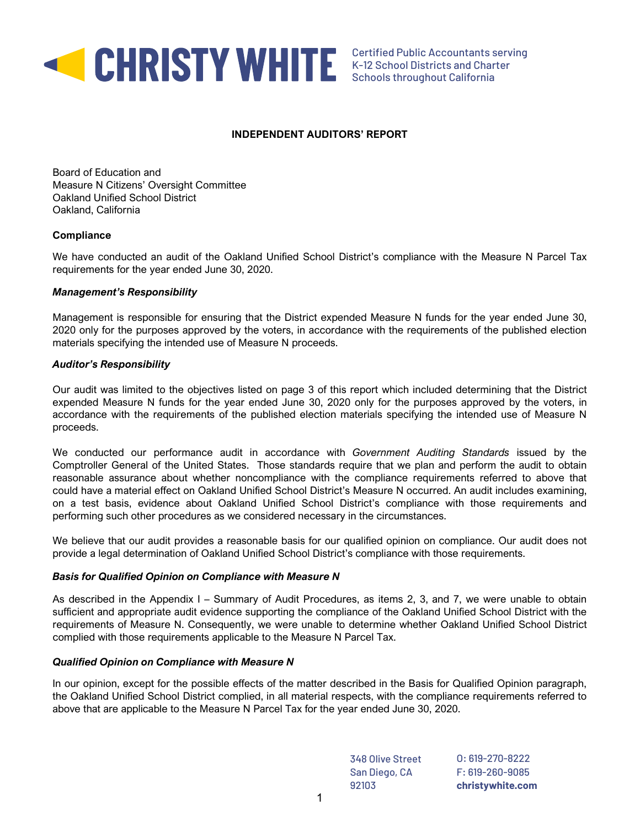

#### **INDEPENDENT AUDITORS' REPORT**

Board of Education and Measure N Citizens' Oversight Committee Oakland Unified School District Oakland, California

#### **Compliance**

We have conducted an audit of the Oakland Unified School District's compliance with the Measure N Parcel Tax requirements for the year ended June 30, 2020.

#### *Management's Responsibility*

Management is responsible for ensuring that the District expended Measure N funds for the year ended June 30, 2020 only for the purposes approved by the voters, in accordance with the requirements of the published election materials specifying the intended use of Measure N proceeds.

#### *Auditor's Responsibility*

Our audit was limited to the objectives listed on page 3 of this report which included determining that the District expended Measure N funds for the year ended June 30, 2020 only for the purposes approved by the voters, in accordance with the requirements of the published election materials specifying the intended use of Measure N proceeds.

We conducted our performance audit in accordance with *Government Auditing Standards* issued by the Comptroller General of the United States. Those standards require that we plan and perform the audit to obtain reasonable assurance about whether noncompliance with the compliance requirements referred to above that could have a material effect on Oakland Unified School District's Measure N occurred. An audit includes examining, on a test basis, evidence about Oakland Unified School District's compliance with those requirements and performing such other procedures as we considered necessary in the circumstances.

We believe that our audit provides a reasonable basis for our qualified opinion on compliance. Our audit does not provide a legal determination of Oakland Unified School District's compliance with those requirements.

#### *Basis for Qualified Opinion on Compliance with Measure N*

As described in the Appendix I – Summary of Audit Procedures, as items 2, 3, and 7, we were unable to obtain sufficient and appropriate audit evidence supporting the compliance of the Oakland Unified School District with the requirements of Measure N. Consequently, we were unable to determine whether Oakland Unified School District complied with those requirements applicable to the Measure N Parcel Tax.

#### *Qualified Opinion on Compliance with Measure N*

In our opinion, except for the possible effects of the matter described in the Basis for Qualified Opinion paragraph, the Oakland Unified School District complied, in all material respects, with the compliance requirements referred to above that are applicable to the Measure N Parcel Tax for the year ended June 30, 2020.

> O: 619-270-8222 F: 619-260-9085 **christywhite.com** 348 Olive Street San Diego, CA 92103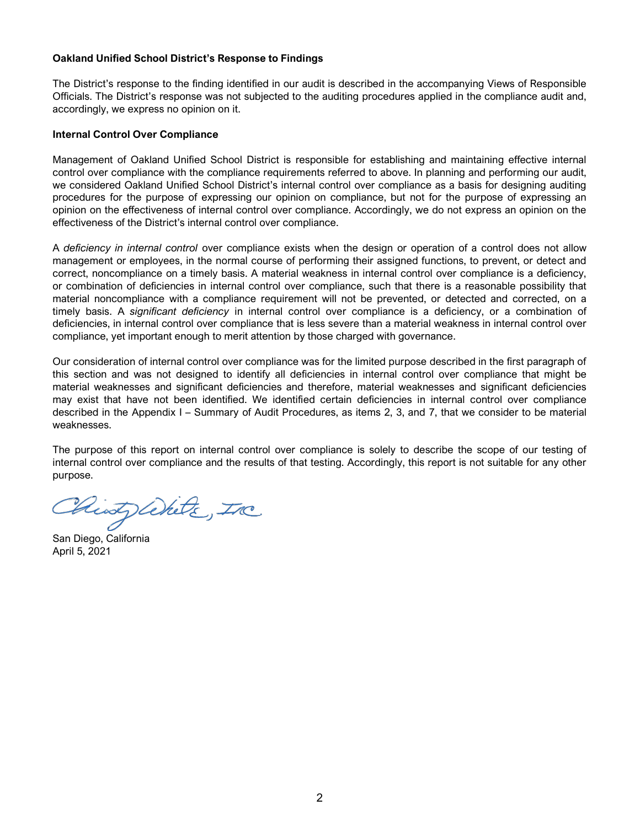#### Oakland Unified School District's Response to Findings

The District's response to the finding identified in our audit is described in the accompanying Views of Responsible Officials. The District's response was not subjected to the auditing procedures applied in the compliance audit and, accordingly, we express no opinion on it.

#### Internal Control Over Compliance

Management of Oakland Unified School District is responsible for establishing and maintaining effective internal control over compliance with the compliance requirements referred to above. In planning and performing our audit, we considered Oakland Unified School District's internal control over compliance as a basis for designing auditing procedures for the purpose of expressing our opinion on compliance, but not for the purpose of expressing an opinion on the effectiveness of internal control over compliance. Accordingly, we do not express an opinion on the effectiveness of the District's internal control over compliance.

A deficiency in internal control over compliance exists when the design or operation of a control does not allow management or employees, in the normal course of performing their assigned functions, to prevent, or detect and correct, noncompliance on a timely basis. A material weakness in internal control over compliance is a deficiency, or combination of deficiencies in internal control over compliance, such that there is a reasonable possibility that material noncompliance with a compliance requirement will not be prevented, or detected and corrected, on a timely basis. A significant deficiency in internal control over compliance is a deficiency, or a combination of deficiencies, in internal control over compliance that is less severe than a material weakness in internal control over compliance, yet important enough to merit attention by those charged with governance.

Our consideration of internal control over compliance was for the limited purpose described in the first paragraph of this section and was not designed to identify all deficiencies in internal control over compliance that might be material weaknesses and significant deficiencies and therefore, material weaknesses and significant deficiencies may exist that have not been identified. We identified certain deficiencies in internal control over compliance described in the Appendix I – Summary of Audit Procedures, as items 2, 3, and 7, that we consider to be material weaknesses.

The purpose of this report on internal control over compliance is solely to describe the scope of our testing of internal control over compliance and the results of that testing. Accordingly, this report is not suitable for any other purpose.

Chints With The

San Diego, California April 5, 2021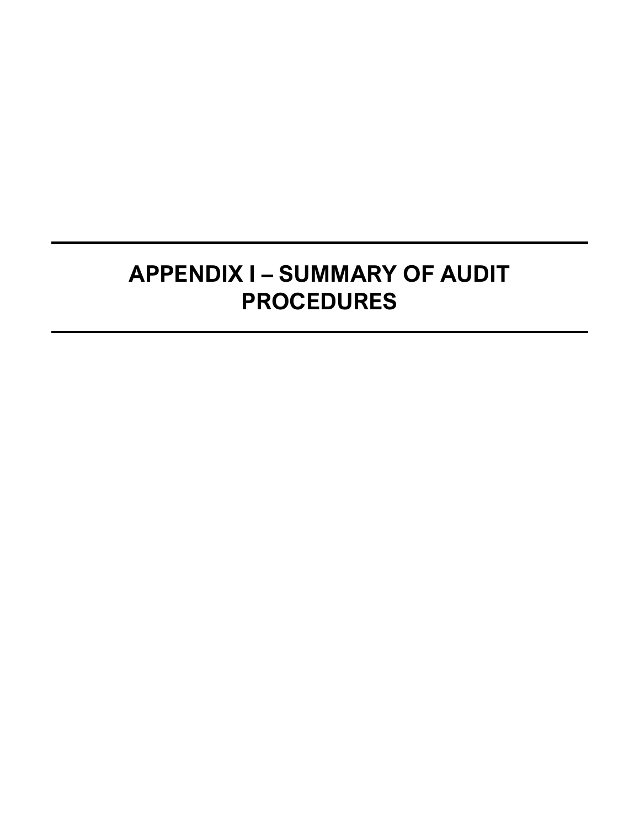# **APPENDIX I – SUMMARY OF AUDIT PROCEDURES**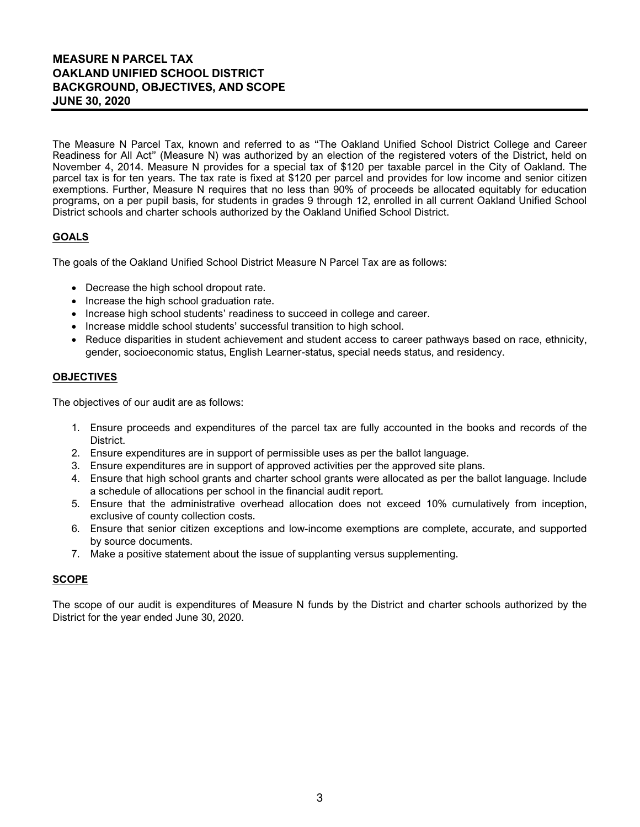# **MEASURE N PARCEL TAX OAKLAND UNIFIED SCHOOL DISTRICT BACKGROUND, OBJECTIVES, AND SCOPE JUNE 30, 2020**

The Measure N Parcel Tax, known and referred to as "The Oakland Unified School District College and Career Readiness for All Act" (Measure N) was authorized by an election of the registered voters of the District, held on November 4, 2014. Measure N provides for a special tax of \$120 per taxable parcel in the City of Oakland. The parcel tax is for ten years. The tax rate is fixed at \$120 per parcel and provides for low income and senior citizen exemptions. Further, Measure N requires that no less than 90% of proceeds be allocated equitably for education programs, on a per pupil basis, for students in grades 9 through 12, enrolled in all current Oakland Unified School District schools and charter schools authorized by the Oakland Unified School District.

## **GOALS**

The goals of the Oakland Unified School District Measure N Parcel Tax are as follows:

- Decrease the high school dropout rate.
- Increase the high school graduation rate.
- Increase high school students' readiness to succeed in college and career.
- Increase middle school students' successful transition to high school.
- Reduce disparities in student achievement and student access to career pathways based on race, ethnicity, gender, socioeconomic status, English Learner-status, special needs status, and residency.

#### **OBJECTIVES**

The objectives of our audit are as follows:

- 1. Ensure proceeds and expenditures of the parcel tax are fully accounted in the books and records of the District.
- 2. Ensure expenditures are in support of permissible uses as per the ballot language.
- 3. Ensure expenditures are in support of approved activities per the approved site plans.
- 4. Ensure that high school grants and charter school grants were allocated as per the ballot language. Include a schedule of allocations per school in the financial audit report.
- 5. Ensure that the administrative overhead allocation does not exceed 10% cumulatively from inception, exclusive of county collection costs.
- 6. Ensure that senior citizen exceptions and low-income exemptions are complete, accurate, and supported by source documents.
- 7. Make a positive statement about the issue of supplanting versus supplementing.

#### **SCOPE**

The scope of our audit is expenditures of Measure N funds by the District and charter schools authorized by the District for the year ended June 30, 2020.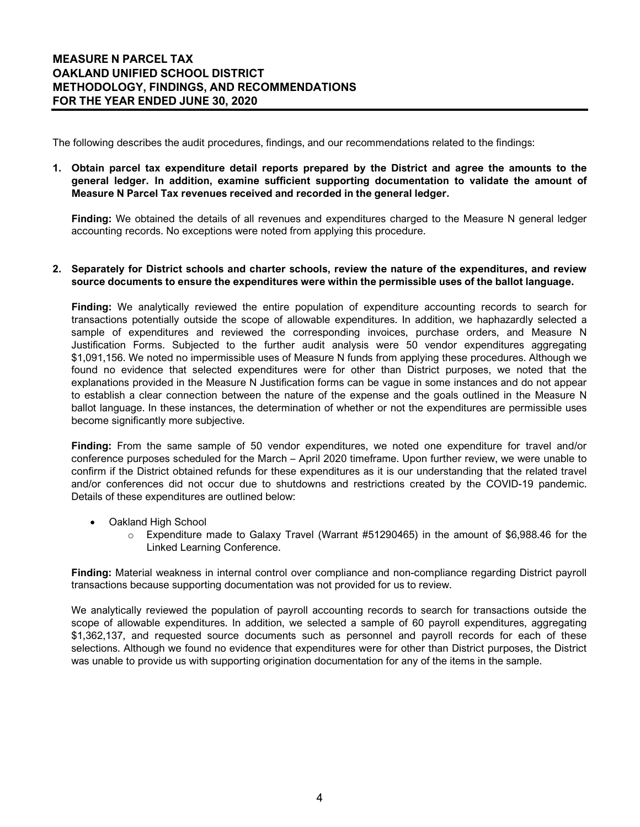The following describes the audit procedures, findings, and our recommendations related to the findings:

**1. Obtain parcel tax expenditure detail reports prepared by the District and agree the amounts to the general ledger. In addition, examine sufficient supporting documentation to validate the amount of Measure N Parcel Tax revenues received and recorded in the general ledger.**

**Finding:** We obtained the details of all revenues and expenditures charged to the Measure N general ledger accounting records. No exceptions were noted from applying this procedure.

#### **2. Separately for District schools and charter schools, review the nature of the expenditures, and review source documents to ensure the expenditures were within the permissible uses of the ballot language.**

**Finding:** We analytically reviewed the entire population of expenditure accounting records to search for transactions potentially outside the scope of allowable expenditures. In addition, we haphazardly selected a sample of expenditures and reviewed the corresponding invoices, purchase orders, and Measure N Justification Forms. Subjected to the further audit analysis were 50 vendor expenditures aggregating \$1,091,156. We noted no impermissible uses of Measure N funds from applying these procedures. Although we found no evidence that selected expenditures were for other than District purposes, we noted that the explanations provided in the Measure N Justification forms can be vague in some instances and do not appear to establish a clear connection between the nature of the expense and the goals outlined in the Measure N ballot language. In these instances, the determination of whether or not the expenditures are permissible uses become significantly more subjective.

**Finding:** From the same sample of 50 vendor expenditures, we noted one expenditure for travel and/or conference purposes scheduled for the March – April 2020 timeframe. Upon further review, we were unable to confirm if the District obtained refunds for these expenditures as it is our understanding that the related travel and/or conferences did not occur due to shutdowns and restrictions created by the COVID-19 pandemic. Details of these expenditures are outlined below:

- Oakland High School
	- $\circ$  Expenditure made to Galaxy Travel (Warrant #51290465) in the amount of \$6,988.46 for the Linked Learning Conference.

**Finding:** Material weakness in internal control over compliance and non-compliance regarding District payroll transactions because supporting documentation was not provided for us to review.

We analytically reviewed the population of payroll accounting records to search for transactions outside the scope of allowable expenditures. In addition, we selected a sample of 60 payroll expenditures, aggregating \$1,362,137, and requested source documents such as personnel and payroll records for each of these selections. Although we found no evidence that expenditures were for other than District purposes, the District was unable to provide us with supporting origination documentation for any of the items in the sample.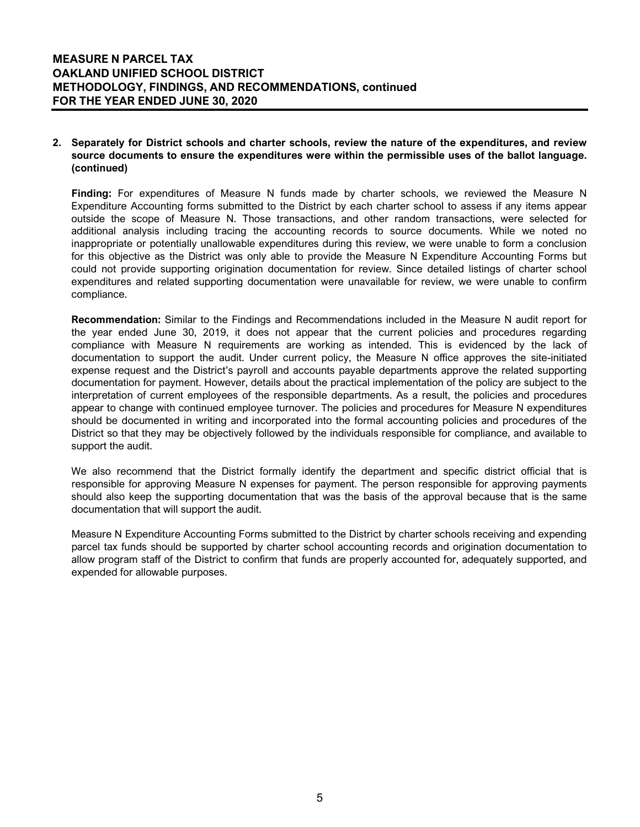#### **2. Separately for District schools and charter schools, review the nature of the expenditures, and review source documents to ensure the expenditures were within the permissible uses of the ballot language. (continued)**

**Finding:** For expenditures of Measure N funds made by charter schools, we reviewed the Measure N Expenditure Accounting forms submitted to the District by each charter school to assess if any items appear outside the scope of Measure N. Those transactions, and other random transactions, were selected for additional analysis including tracing the accounting records to source documents. While we noted no inappropriate or potentially unallowable expenditures during this review, we were unable to form a conclusion for this objective as the District was only able to provide the Measure N Expenditure Accounting Forms but could not provide supporting origination documentation for review. Since detailed listings of charter school expenditures and related supporting documentation were unavailable for review, we were unable to confirm compliance.

**Recommendation:** Similar to the Findings and Recommendations included in the Measure N audit report for the year ended June 30, 2019, it does not appear that the current policies and procedures regarding compliance with Measure N requirements are working as intended. This is evidenced by the lack of documentation to support the audit. Under current policy, the Measure N office approves the site-initiated expense request and the District's payroll and accounts payable departments approve the related supporting documentation for payment. However, details about the practical implementation of the policy are subject to the interpretation of current employees of the responsible departments. As a result, the policies and procedures appear to change with continued employee turnover. The policies and procedures for Measure N expenditures should be documented in writing and incorporated into the formal accounting policies and procedures of the District so that they may be objectively followed by the individuals responsible for compliance, and available to support the audit.

We also recommend that the District formally identify the department and specific district official that is responsible for approving Measure N expenses for payment. The person responsible for approving payments should also keep the supporting documentation that was the basis of the approval because that is the same documentation that will support the audit.

Measure N Expenditure Accounting Forms submitted to the District by charter schools receiving and expending parcel tax funds should be supported by charter school accounting records and origination documentation to allow program staff of the District to confirm that funds are properly accounted for, adequately supported, and expended for allowable purposes.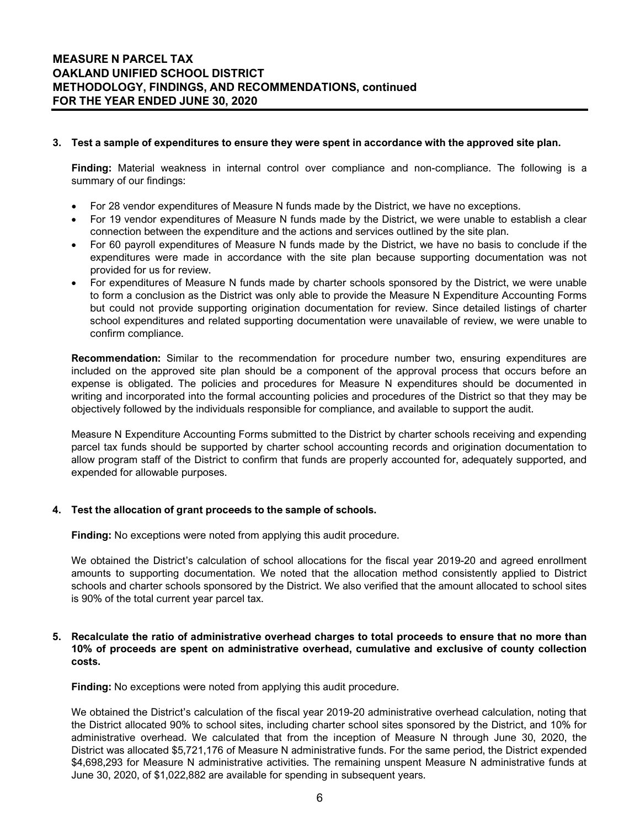#### **3. Test a sample of expenditures to ensure they were spent in accordance with the approved site plan.**

**Finding:** Material weakness in internal control over compliance and non-compliance. The following is a summary of our findings:

- For 28 vendor expenditures of Measure N funds made by the District, we have no exceptions.
- For 19 vendor expenditures of Measure N funds made by the District, we were unable to establish a clear connection between the expenditure and the actions and services outlined by the site plan.
- For 60 payroll expenditures of Measure N funds made by the District, we have no basis to conclude if the expenditures were made in accordance with the site plan because supporting documentation was not provided for us for review.
- For expenditures of Measure N funds made by charter schools sponsored by the District, we were unable to form a conclusion as the District was only able to provide the Measure N Expenditure Accounting Forms but could not provide supporting origination documentation for review. Since detailed listings of charter school expenditures and related supporting documentation were unavailable of review, we were unable to confirm compliance.

**Recommendation:** Similar to the recommendation for procedure number two, ensuring expenditures are included on the approved site plan should be a component of the approval process that occurs before an expense is obligated. The policies and procedures for Measure N expenditures should be documented in writing and incorporated into the formal accounting policies and procedures of the District so that they may be objectively followed by the individuals responsible for compliance, and available to support the audit.

Measure N Expenditure Accounting Forms submitted to the District by charter schools receiving and expending parcel tax funds should be supported by charter school accounting records and origination documentation to allow program staff of the District to confirm that funds are properly accounted for, adequately supported, and expended for allowable purposes.

#### **4. Test the allocation of grant proceeds to the sample of schools.**

**Finding:** No exceptions were noted from applying this audit procedure.

We obtained the District's calculation of school allocations for the fiscal year 2019-20 and agreed enrollment amounts to supporting documentation. We noted that the allocation method consistently applied to District schools and charter schools sponsored by the District. We also verified that the amount allocated to school sites is 90% of the total current year parcel tax.

#### **5. Recalculate the ratio of administrative overhead charges to total proceeds to ensure that no more than 10% of proceeds are spent on administrative overhead, cumulative and exclusive of county collection costs.**

**Finding:** No exceptions were noted from applying this audit procedure.

We obtained the District's calculation of the fiscal year 2019-20 administrative overhead calculation, noting that the District allocated 90% to school sites, including charter school sites sponsored by the District, and 10% for administrative overhead. We calculated that from the inception of Measure N through June 30, 2020, the District was allocated \$5,721,176 of Measure N administrative funds. For the same period, the District expended \$4,698,293 for Measure N administrative activities. The remaining unspent Measure N administrative funds at June 30, 2020, of \$1,022,882 are available for spending in subsequent years.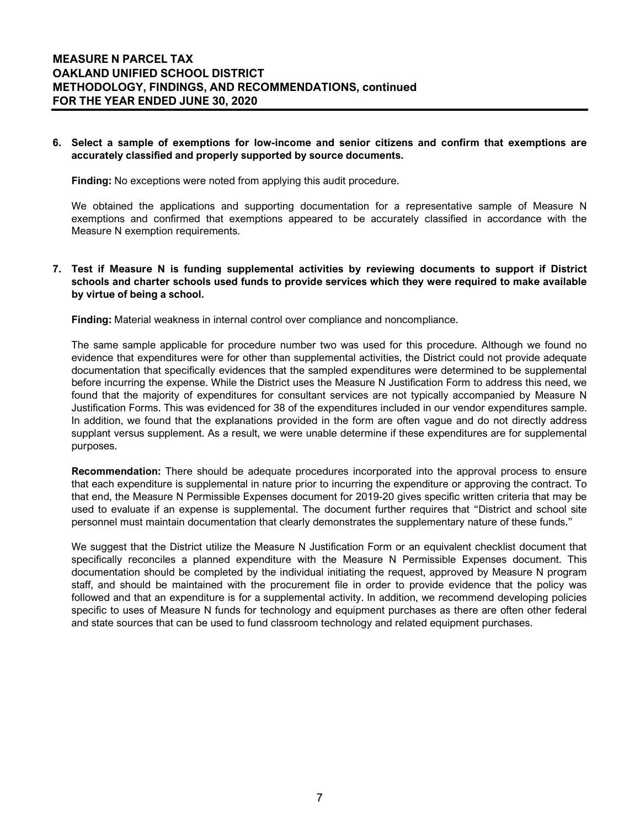#### **6. Select a sample of exemptions for low-income and senior citizens and confirm that exemptions are accurately classified and properly supported by source documents.**

**Finding:** No exceptions were noted from applying this audit procedure.

We obtained the applications and supporting documentation for a representative sample of Measure N exemptions and confirmed that exemptions appeared to be accurately classified in accordance with the Measure N exemption requirements.

#### **7. Test if Measure N is funding supplemental activities by reviewing documents to support if District schools and charter schools used funds to provide services which they were required to make available by virtue of being a school.**

**Finding:** Material weakness in internal control over compliance and noncompliance.

The same sample applicable for procedure number two was used for this procedure. Although we found no evidence that expenditures were for other than supplemental activities, the District could not provide adequate documentation that specifically evidences that the sampled expenditures were determined to be supplemental before incurring the expense. While the District uses the Measure N Justification Form to address this need, we found that the majority of expenditures for consultant services are not typically accompanied by Measure N Justification Forms. This was evidenced for 38 of the expenditures included in our vendor expenditures sample. In addition, we found that the explanations provided in the form are often vague and do not directly address supplant versus supplement. As a result, we were unable determine if these expenditures are for supplemental purposes.

**Recommendation:** There should be adequate procedures incorporated into the approval process to ensure that each expenditure is supplemental in nature prior to incurring the expenditure or approving the contract. To that end, the Measure N Permissible Expenses document for 2019-20 gives specific written criteria that may be used to evaluate if an expense is supplemental. The document further requires that "District and school site personnel must maintain documentation that clearly demonstrates the supplementary nature of these funds."

We suggest that the District utilize the Measure N Justification Form or an equivalent checklist document that specifically reconciles a planned expenditure with the Measure N Permissible Expenses document. This documentation should be completed by the individual initiating the request, approved by Measure N program staff, and should be maintained with the procurement file in order to provide evidence that the policy was followed and that an expenditure is for a supplemental activity. In addition, we recommend developing policies specific to uses of Measure N funds for technology and equipment purchases as there are often other federal and state sources that can be used to fund classroom technology and related equipment purchases.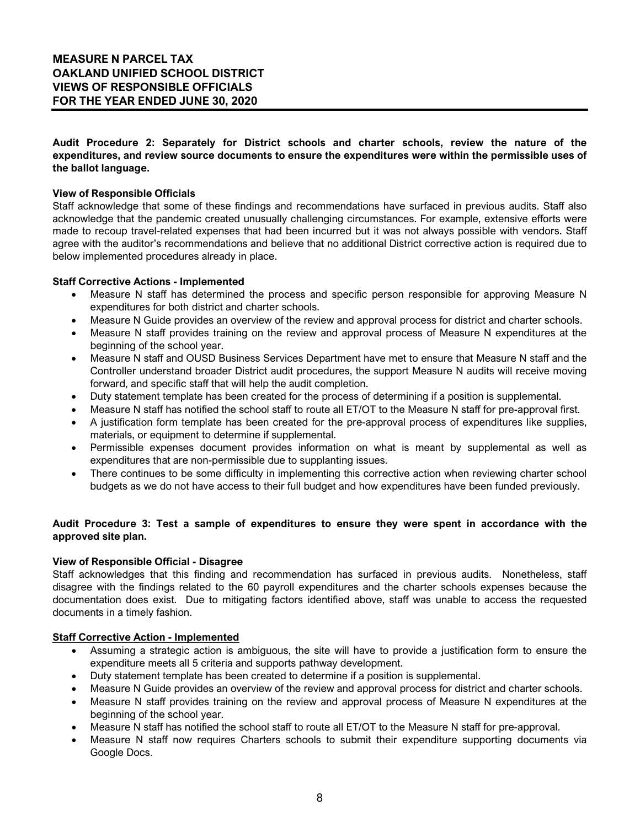**Audit Procedure 2: Separately for District schools and charter schools, review the nature of the expenditures, and review source documents to ensure the expenditures were within the permissible uses of the ballot language.**

#### **View of Responsible Officials**

Staff acknowledge that some of these findings and recommendations have surfaced in previous audits. Staff also acknowledge that the pandemic created unusually challenging circumstances. For example, extensive efforts were made to recoup travel-related expenses that had been incurred but it was not always possible with vendors. Staff agree with the auditor's recommendations and believe that no additional District corrective action is required due to below implemented procedures already in place.

#### **Staff Corrective Actions - Implemented**

- Measure N staff has determined the process and specific person responsible for approving Measure N expenditures for both district and charter schools.
- Measure N Guide provides an overview of the review and approval process for district and charter schools.
- Measure N staff provides training on the review and approval process of Measure N expenditures at the beginning of the school year.
- Measure N staff and OUSD Business Services Department have met to ensure that Measure N staff and the Controller understand broader District audit procedures, the support Measure N audits will receive moving forward, and specific staff that will help the audit completion.
- Duty statement template has been created for the process of determining if a position is supplemental.
- Measure N staff has notified the school staff to route all ET/OT to the Measure N staff for pre-approval first.
- A justification form template has been created for the pre-approval process of expenditures like supplies, materials, or equipment to determine if supplemental.
- Permissible expenses document provides information on what is meant by supplemental as well as expenditures that are non-permissible due to supplanting issues.
- There continues to be some difficulty in implementing this corrective action when reviewing charter school budgets as we do not have access to their full budget and how expenditures have been funded previously.

#### **Audit Procedure 3: Test a sample of expenditures to ensure they were spent in accordance with the approved site plan.**

#### **View of Responsible Official - Disagree**

Staff acknowledges that this finding and recommendation has surfaced in previous audits. Nonetheless, staff disagree with the findings related to the 60 payroll expenditures and the charter schools expenses because the documentation does exist. Due to mitigating factors identified above, staff was unable to access the requested documents in a timely fashion.

#### **Staff Corrective Action - Implemented**

- Assuming a strategic action is ambiguous, the site will have to provide a justification form to ensure the expenditure meets all 5 criteria and supports pathway development.
- Duty statement template has been created to determine if a position is supplemental.
- Measure N Guide provides an overview of the review and approval process for district and charter schools.
- Measure N staff provides training on the review and approval process of Measure N expenditures at the beginning of the school year.
- Measure N staff has notified the school staff to route all ET/OT to the Measure N staff for pre-approval.
- Measure N staff now requires Charters schools to submit their expenditure supporting documents via Google Docs.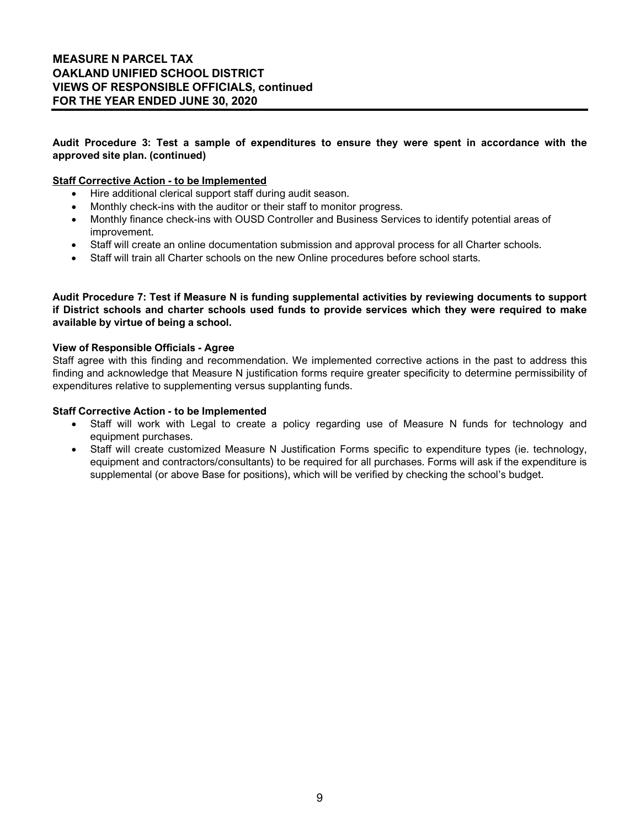# **MEASURE N PARCEL TAX OAKLAND UNIFIED SCHOOL DISTRICT VIEWS OF RESPONSIBLE OFFICIALS, continued FOR THE YEAR ENDED JUNE 30, 2020**

#### **Audit Procedure 3: Test a sample of expenditures to ensure they were spent in accordance with the approved site plan. (continued)**

#### **Staff Corrective Action - to be Implemented**

- Hire additional clerical support staff during audit season.
- Monthly check-ins with the auditor or their staff to monitor progress.
- Monthly finance check-ins with OUSD Controller and Business Services to identify potential areas of improvement.
- Staff will create an online documentation submission and approval process for all Charter schools.
- Staff will train all Charter schools on the new Online procedures before school starts.

**Audit Procedure 7: Test if Measure N is funding supplemental activities by reviewing documents to support if District schools and charter schools used funds to provide services which they were required to make available by virtue of being a school.**

#### **View of Responsible Officials - Agree**

Staff agree with this finding and recommendation. We implemented corrective actions in the past to address this finding and acknowledge that Measure N justification forms require greater specificity to determine permissibility of expenditures relative to supplementing versus supplanting funds.

#### **Staff Corrective Action - to be Implemented**

- Staff will work with Legal to create a policy regarding use of Measure N funds for technology and equipment purchases.
- Staff will create customized Measure N Justification Forms specific to expenditure types (ie. technology, equipment and contractors/consultants) to be required for all purchases. Forms will ask if the expenditure is supplemental (or above Base for positions), which will be verified by checking the school's budget.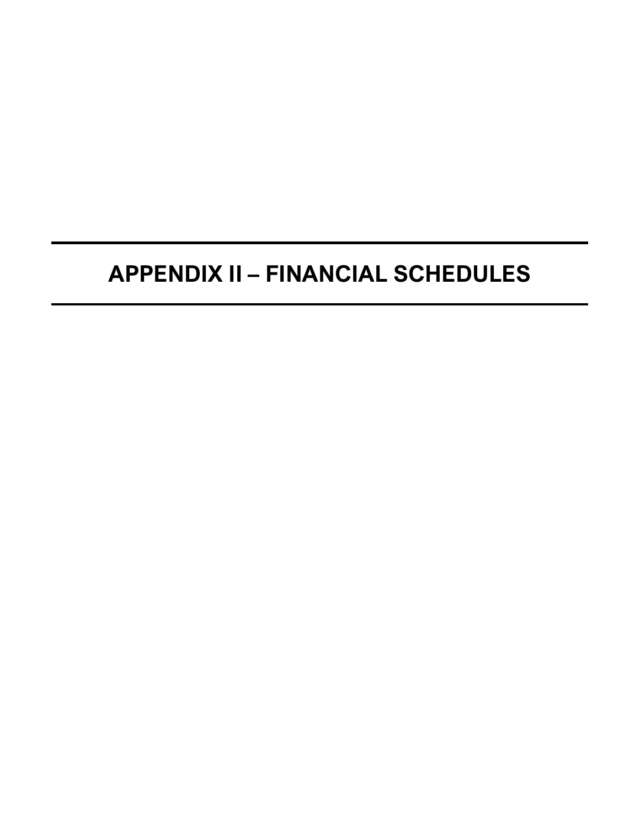# **APPENDIX II – FINANCIAL SCHEDULES**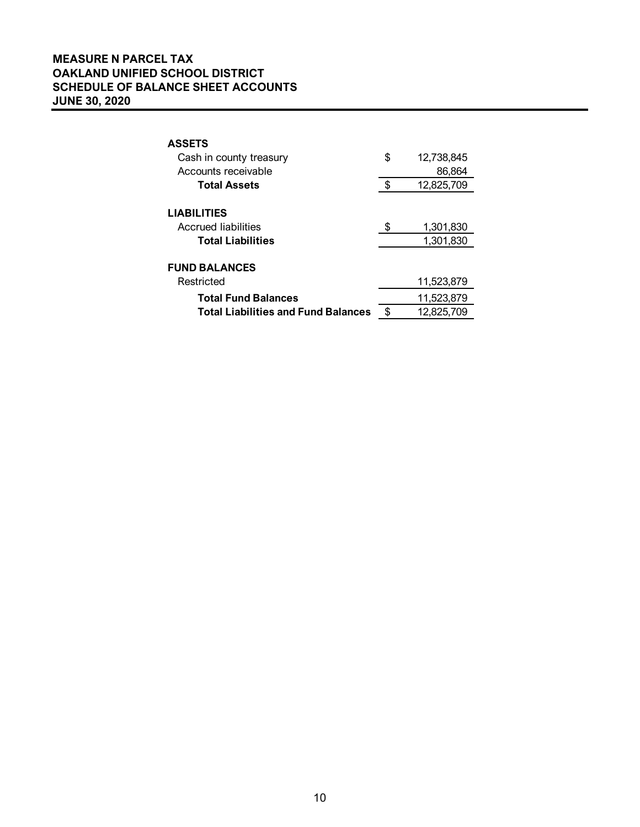# **MEASURE N PARCEL TAX OAKLAND UNIFIED SCHOOL DISTRICT SCHEDULE OF BALANCE SHEET ACCOUNTS JUNE 30, 2020**

| <b>ASSETS</b>                              |     |            |  |  |  |
|--------------------------------------------|-----|------------|--|--|--|
| Cash in county treasury                    | \$  | 12,738,845 |  |  |  |
| Accounts receivable                        |     | 86,864     |  |  |  |
| <b>Total Assets</b>                        | \$. | 12,825,709 |  |  |  |
|                                            |     |            |  |  |  |
| <b>LIABILITIES</b>                         |     |            |  |  |  |
| Accrued liabilities                        | \$  | 1,301,830  |  |  |  |
| <b>Total Liabilities</b>                   |     | 1,301,830  |  |  |  |
|                                            |     |            |  |  |  |
| <b>FUND BALANCES</b>                       |     |            |  |  |  |
| Restricted                                 |     | 11,523,879 |  |  |  |
| <b>Total Fund Balances</b>                 |     | 11,523,879 |  |  |  |
| <b>Total Liabilities and Fund Balances</b> | \$  | 12.825.709 |  |  |  |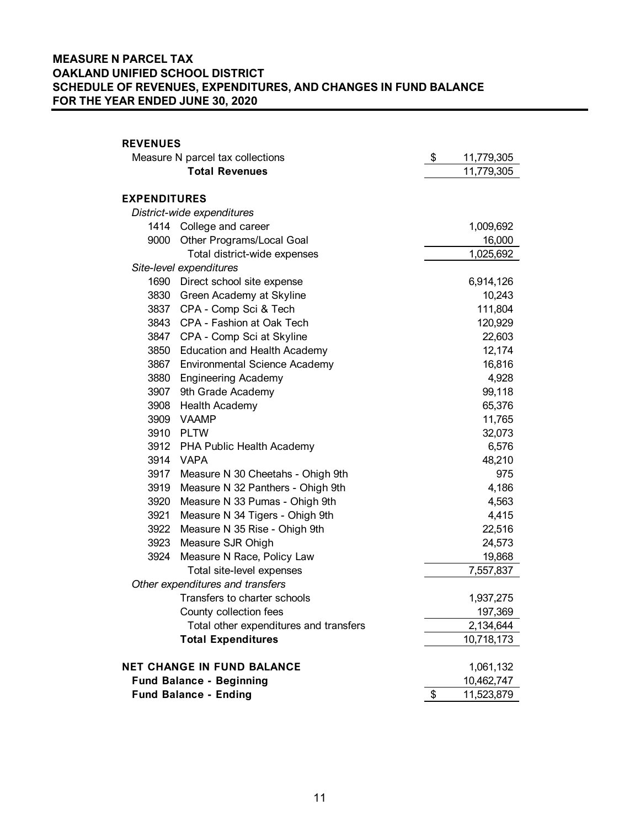# **MEASURE N PARCEL TAX OAKLAND UNIFIED SCHOOL DISTRICT SCHEDULE OF REVENUES, EXPENDITURES, AND CHANGES IN FUND BALANCE FOR THE YEAR ENDED JUNE 30, 2020**

# **REVENUES** Measure N parcel tax collections \$ 11,779,305 **Total Revenues** 11,779,305 **EXPENDITURES** *District-wide expenditures* 1414 College and career 1,009,692 9000 Other Programs/Local Goal 16,000 Total district-wide expenses 1,025,692 *Site-level expenditures* 1690 Direct school site expense 6,914,126 3830 Green Academy at Skyline 10,243 3837 CPA - Comp Sci & Tech 111,804 3843 CPA - Fashion at Oak Tech 120,929 3847 CPA - Comp Sci at Skyline 22,603 3850 Education and Health Academy 12,174 3867 Environmental Science Academy 16,816 3880 Engineering Academy 4,928 3907 9th Grade Academy 99,118 3908 Health Academy **65,376** 65,376 3909 VAAMP 11,765 3910 PLTW 32,073 3912 PHA Public Health Academy 6,576 3914 VAPA 48,210 3917 Measure N 30 Cheetahs - Ohigh 9th 975 3919 Measure N 32 Panthers - Ohigh 9th 4,186 3920 Measure N 33 Pumas - Ohigh 9th 4,563 3921 Measure N 34 Tigers - Ohigh 9th **4,415** 3922 Measure N 35 Rise - Ohigh 9th 22,516 3923 Measure SJR Ohigh 24,573 3924 Measure N Race, Policy Law 19,868 Total site-level expenses 7,557,837 *Other expenditures and transfers* Transfers to charter schools 1,937,275 County collection fees 197,369 Total other expenditures and transfers The manufacture 2,134,644 **Total Expenditures** 10,718,173 **NET CHANGE IN FUND BALANCE** 1,061,132 **Fund Balance - Beginning 10,462,747 Fund Balance - Ending**   $$ 11,523,879$